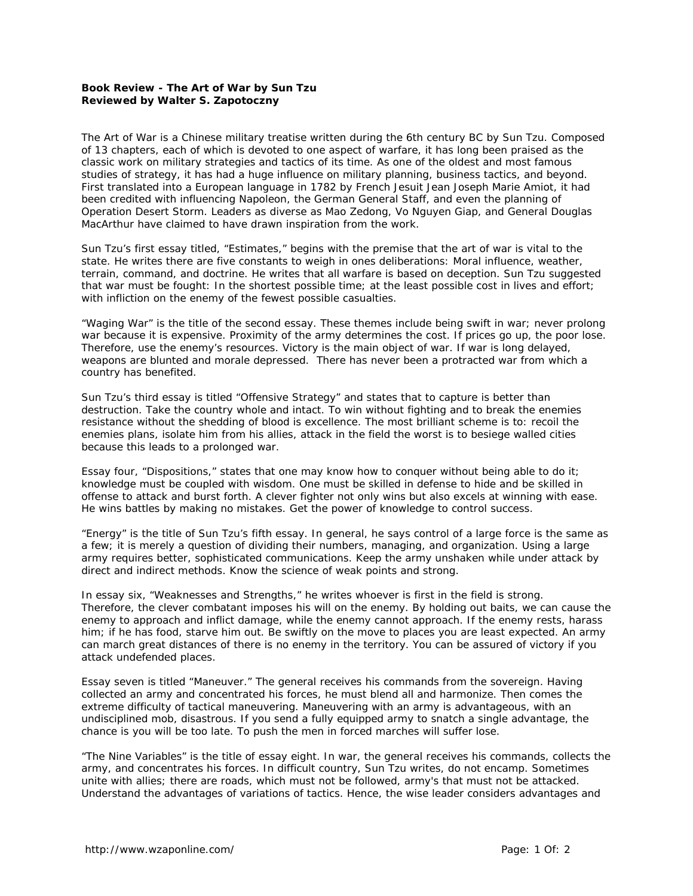## **Book Review - The Art of War by Sun Tzu Reviewed by Walter S. Zapotoczny**

*The Art of War* is a Chinese military treatise written during the 6th century BC by Sun Tzu. Composed of 13 chapters, each of which is devoted to one aspect of warfare, it has long been praised as the classic work on military strategies and tactics of its time. As one of the oldest and most famous studies of strategy, it has had a huge influence on military planning, business tactics, and beyond. First translated into a European language in 1782 by French Jesuit Jean Joseph Marie Amiot, it had been credited with influencing Napoleon, the German General Staff, and even the planning of Operation Desert Storm. Leaders as diverse as Mao Zedong, Vo Nguyen Giap, and General Douglas MacArthur have claimed to have drawn inspiration from the work.

Sun Tzu's first essay titled, "Estimates," begins with the premise that the art of war is vital to the state. He writes there are five constants to weigh in ones deliberations: Moral influence, weather, terrain, command, and doctrine. He writes that all warfare is based on deception. Sun Tzu suggested that war must be fought: In the shortest possible time; at the least possible cost in lives and effort; with infliction on the enemy of the fewest possible casualties.

"Waging War" is the title of the second essay. These themes include being swift in war; never prolong war because it is expensive. Proximity of the army determines the cost. If prices go up, the poor lose. Therefore, use the enemy's resources. Victory is the main object of war. If war is long delayed, weapons are blunted and morale depressed. There has never been a protracted war from which a country has benefited.

Sun Tzu's third essay is titled "Offensive Strategy" and states that to capture is better than destruction. Take the country whole and intact. To win without fighting and to break the enemies resistance without the shedding of blood is excellence. The most brilliant scheme is to: recoil the enemies plans, isolate him from his allies, attack in the field the worst is to besiege walled cities because this leads to a prolonged war.

Essay four, "Dispositions," states that one may know how to conquer without being able to do it; knowledge must be coupled with wisdom. One must be skilled in defense to hide and be skilled in offense to attack and burst forth. A clever fighter not only wins but also excels at winning with ease. He wins battles by making no mistakes. Get the power of knowledge to control success.

"Energy" is the title of Sun Tzu's fifth essay. In general, he says control of a large force is the same as a few; it is merely a question of dividing their numbers, managing, and organization. Using a large army requires better, sophisticated communications. Keep the army unshaken while under attack by direct and indirect methods. Know the science of weak points and strong.

In essay six, "Weaknesses and Strengths," he writes whoever is first in the field is strong. Therefore, the clever combatant imposes his will on the enemy. By holding out baits, we can cause the enemy to approach and inflict damage, while the enemy cannot approach. If the enemy rests, harass him; if he has food, starve him out. Be swiftly on the move to places you are least expected. An army can march great distances of there is no enemy in the territory. You can be assured of victory if you attack undefended places.

Essay seven is titled "Maneuver." The general receives his commands from the sovereign. Having collected an army and concentrated his forces, he must blend all and harmonize. Then comes the extreme difficulty of tactical maneuvering. Maneuvering with an army is advantageous, with an undisciplined mob, disastrous. If you send a fully equipped army to snatch a single advantage, the chance is you will be too late. To push the men in forced marches will suffer lose.

"The Nine Variables" is the title of essay eight. In war, the general receives his commands, collects the army, and concentrates his forces. In difficult country, Sun Tzu writes, do not encamp. Sometimes unite with allies; there are roads, which must not be followed, army's that must not be attacked. Understand the advantages of variations of tactics. Hence, the wise leader considers advantages and